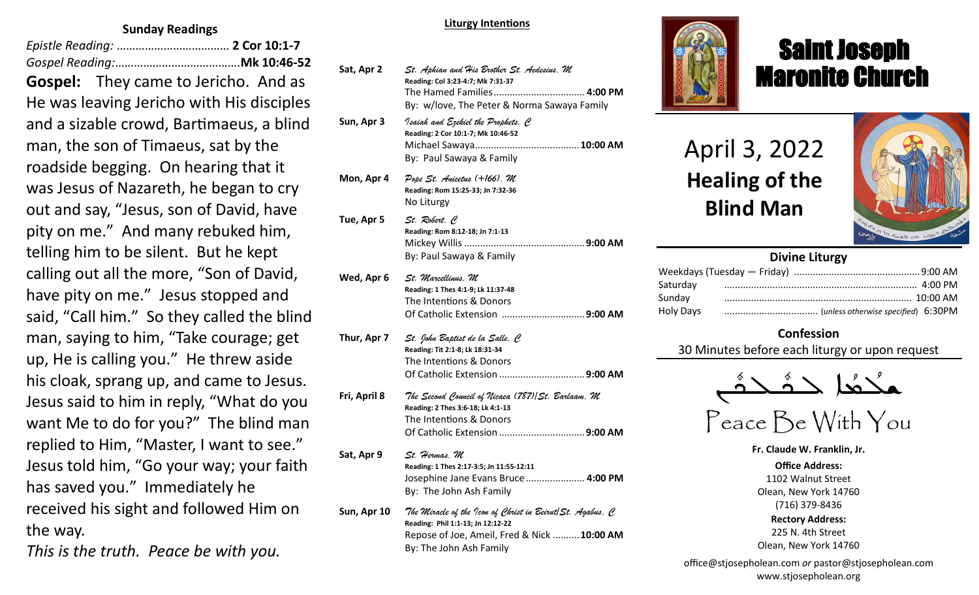#### **Sunday Readings**

*Epistle Reading:* ……………………………… **2 Cor 10:1-7** *Gospel Reading:*………………………………….**Mk 10:46-52 Gospel:** They came to Jericho. And as He was leaving Jericho with His disciples and a sizable crowd, Bartimaeus, a blind man, the son of Timaeus, sat by the roadside begging. On hearing that it was Jesus of Nazareth, he began to cry out and say, "Jesus, son of David, have pity on me." And many rebuked him, telling him to be silent. But he kept calling out all the more, "Son of David, have pity on me." Jesus stopped and said, "Call him." So they called the blind man, saying to him, "Take courage; get up, He is calling you." He threw aside his cloak, sprang up, and came to Jesus. Jesus said to him in reply, "What do you want Me to do for you?" The blind man replied to Him, "Master, I want to see." Jesus told him, "Go your way; your faith has saved you." Immediately he received his sight and followed Him on the way.

*This is the truth. Peace be with you.*

#### **Liturgy Intentions**

| Sat, Apr 2   | St. Aphian and His Brother St. Aedesius, M<br>Reading: Col 3:23-4:7; Mk 7:31-37<br>The Hamed Families  4:00 PM<br>By: w/love, The Peter & Norma Sawaya Family                            |
|--------------|------------------------------------------------------------------------------------------------------------------------------------------------------------------------------------------|
| Sun, Apr 3   | Isaiah and Ezekiel the Prophets, C<br>Reading: 2 Cor 10:1-7; Mk 10:46-52<br>By: Paul Sawaya & Family                                                                                     |
| Mon, Apr 4   | Pope St. Anicetus (+166), M<br>Reading: Rom 15:25-33; Jn 7:32-36<br>No Liturgy                                                                                                           |
| Tue, Apr 5   | St. Robert, C<br>Reading: Rom 8:12-18; Jn 7:1-13<br>By: Paul Sawaya & Family                                                                                                             |
| Wed, Apr 6   | St. Marcellinus, M<br>Reading: 1 Thes 4:1-9; Lk 11:37-48<br>The Intentions & Donors<br>Of Catholic Extension 9:00 AM                                                                     |
| Thur, Apr 7  | St. John Baptist de la Salle, C<br>Reading: Tit 2:1-8; Lk 18:31-34<br>The Intentions & Donors                                                                                            |
| Fri, April 8 | The Second Council of Nicaea (787) St. Barlaam, M<br>Reading: 2 Thes 3:6-18; Lk 4:1-13<br>The Intentions & Donors                                                                        |
| Sat, Apr 9   | St. Hermas, M<br>Reading: 1 Thes 2:17-3:5; Jn 11:55-12:11<br>Josephine Jane Evans Bruce 4:00 PM<br>By: The John Ash Family                                                               |
| Sun, Apr 10  | The Miracle of the Icon of Christ in Beirut $ \mathcal{S} t $ . Agabus, C<br>Reading: Phil 1:1-13; Jn 12:12-22<br>Repose of Joe, Ameil, Fred & Nick  10:00 AM<br>By: The John Ash Family |



## Saint Joseph Maronite Church

## April 3, 2022 **Healing of the Blind Man**

ī



#### **Divine Liturgy**

#### **Confession**

30 Minutes before each liturgy or upon request



# Peace Be With You

**Fr. Claude W. Franklin, Jr.**

**Office Address:** 1102 Walnut Street Olean, New York 14760 (716) 379-8436 **Rectory Address:**

225 N. 4th Street Olean, New York 14760

office@stjosepholean.com *or* pastor@stjosepholean.com www.stjosepholean.org